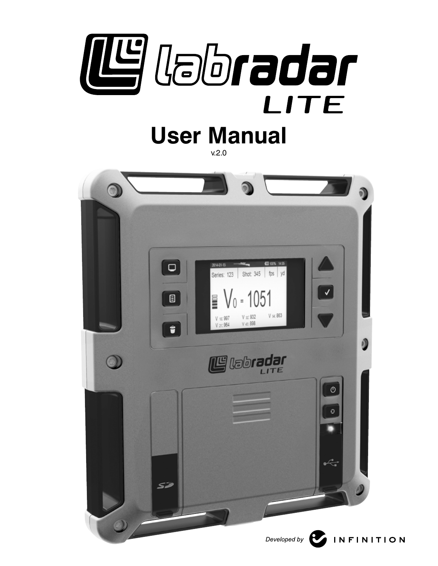

# **User Manual**

v.2.0

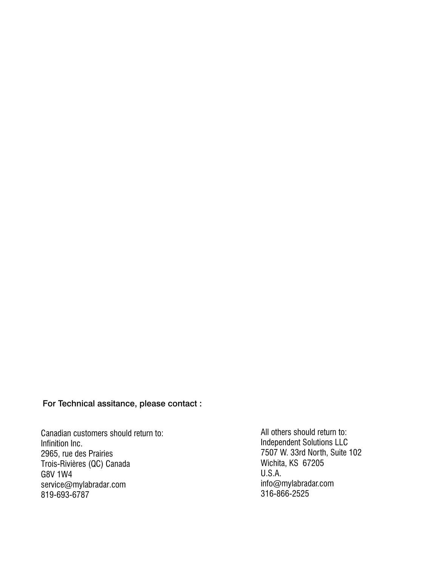For Technical assitance, please contact :

Canadian customers should return to: Infinition Inc. 2965, rue des Prairies Trois-Rivières (QC) Canada G8V 1W4 service@mylabradar.com 819-693-6787

All others should return to: Independent Solutions LLC 7507 W. 33rd North, Suite 102 Wichita, KS 67205 U.S.A. info@mylabradar.com 316-866-2525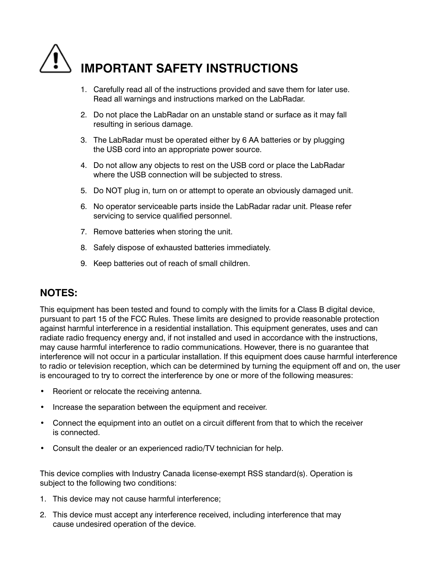

- 1. Carefully read all of the instructions provided and save them for later use. Read all warnings and instructions marked on the LabRadar.
- 2. Do not place the LabRadar on an unstable stand or surface as it may fall resulting in serious damage.
- 3. The LabRadar must be operated either by 6 AA batteries or by plugging the USB cord into an appropriate power source.
- 4. Do not allow any objects to rest on the USB cord or place the LabRadar where the USB connection will be subjected to stress.
- 5. Do NOT plug in, turn on or attempt to operate an obviously damaged unit.
- 6. No operator serviceable parts inside the LabRadar radar unit. Please refer servicing to service qualified personnel.
- 7. Remove batteries when storing the unit.
- 8. Safely dispose of exhausted batteries immediately.
- 9. Keep batteries out of reach of small children.

#### **Notes:**

This equipment has been tested and found to comply with the limits for a Class B digital device, pursuant to part 15 of the FCC Rules. These limits are designed to provide reasonable protection against harmful interference in a residential installation. This equipment generates, uses and can radiate radio frequency energy and, if not installed and used in accordance with the instructions, may cause harmful interference to radio communications. However, there is no guarantee that interference will not occur in a particular installation. If this equipment does cause harmful interference to radio or television reception, which can be determined by turning the equipment off and on, the user is encouraged to try to correct the interference by one or more of the following measures:

- • Reorient or relocate the receiving antenna.
- Increase the separation between the equipment and receiver.
- Connect the equipment into an outlet on a circuit different from that to which the receiver is connected.
- Consult the dealer or an experienced radio/TV technician for help.

This device complies with Industry Canada license-exempt RSS standard(s). Operation is subject to the following two conditions:

- 1. This device may not cause harmful interference;
- 2. This device must accept any interference received, including interference that may cause undesired operation of the device.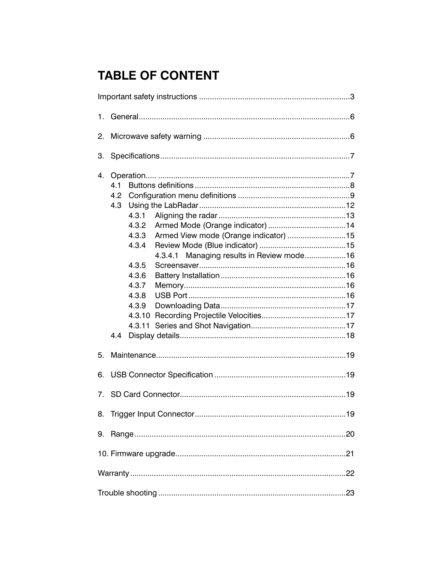# **TABLE OF CONTENT**

| 1.                                                                                                                                                                                                                 |  |  |  |
|--------------------------------------------------------------------------------------------------------------------------------------------------------------------------------------------------------------------|--|--|--|
| 2.                                                                                                                                                                                                                 |  |  |  |
| 3.                                                                                                                                                                                                                 |  |  |  |
| 4.<br>4.1<br>4.2<br>4.3<br>4.3.1<br>4.3.2<br>Armed View mode (Orange indicator) 15<br>4.3.3<br>4.3.4<br>Managing results in Review mode16<br>4.3.4.1<br>4.3.5<br>4.3.6<br>4.3.7<br>4.3.8<br>4.3.9<br>4.3.11<br>4.4 |  |  |  |
| 5.                                                                                                                                                                                                                 |  |  |  |
| 6.                                                                                                                                                                                                                 |  |  |  |
| 7.                                                                                                                                                                                                                 |  |  |  |
| 8.                                                                                                                                                                                                                 |  |  |  |
| 9.                                                                                                                                                                                                                 |  |  |  |
|                                                                                                                                                                                                                    |  |  |  |
|                                                                                                                                                                                                                    |  |  |  |
|                                                                                                                                                                                                                    |  |  |  |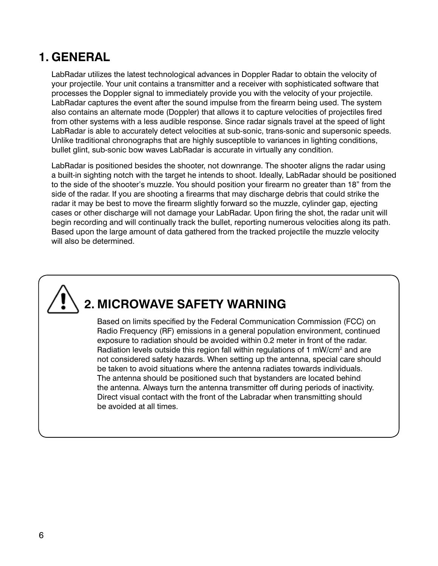# **1. GeNeraL**

LabRadar utilizes the latest technological advances in Doppler Radar to obtain the velocity of your projectile. Your unit contains a transmitter and a receiver with sophisticated software that processes the Doppler signal to immediately provide you with the velocity of your projectile. LabRadar captures the event after the sound impulse from the firearm being used. The system also contains an alternate mode (Doppler) that allows it to capture velocities of projectiles fired from other systems with a less audible response. Since radar signals travel at the speed of light LabRadar is able to accurately detect velocities at sub-sonic, trans-sonic and supersonic speeds. Unlike traditional chronographs that are highly susceptible to variances in lighting conditions, bullet glint, sub-sonic bow waves LabRadar is accurate in virtually any condition.

LabRadar is positioned besides the shooter, not downrange. The shooter aligns the radar using a built-in sighting notch with the target he intends to shoot. Ideally, LabRadar should be positioned to the side of the shooter's muzzle. You should position your firearm no greater than 18" from the side of the radar. If you are shooting a firearms that may discharge debris that could strike the radar it may be best to move the firearm slightly forward so the muzzle, cylinder gap, ejecting cases or other discharge will not damage your LabRadar. Upon firing the shot, the radar unit will begin recording and will continually track the bullet, reporting numerous velocities along its path. Based upon the large amount of data gathered from the tracked projectile the muzzle velocity will also be determined.

# **2. MIcrowave safety warNING**

Based on limits specified by the Federal Communication Commission (FCC) on Radio Frequency (RF) emissions in a general population environment, continued exposure to radiation should be avoided within 0.2 meter in front of the radar. Radiation levels outside this region fall within regulations of 1 mW/cm<sup>2</sup> and are not considered safety hazards. When setting up the antenna, special care should be taken to avoid situations where the antenna radiates towards individuals. The antenna should be positioned such that bystanders are located behind the antenna. Always turn the antenna transmitter off during periods of inactivity. Direct visual contact with the front of the Labradar when transmitting should be avoided at all times.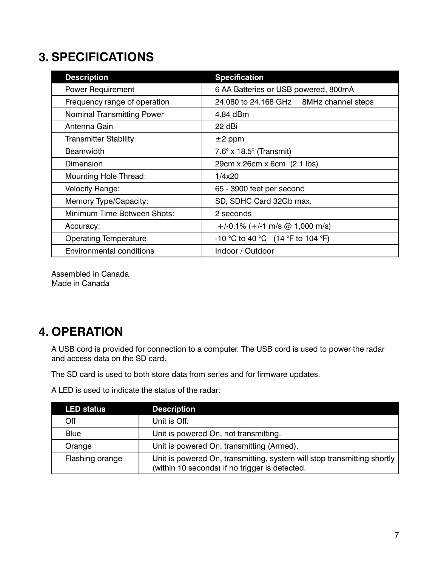# **3. specIfIcatIoNs**

| <b>Description</b>                | <b>Specification</b>                     |
|-----------------------------------|------------------------------------------|
| <b>Power Requirement</b>          | 6 AA Batteries or USB powered, 800mA     |
| Frequency range of operation      | 24.080 to 24.168 GHz 8MHz channel steps  |
| <b>Nominal Transmitting Power</b> | 4.84 dBm                                 |
| Antenna Gain                      | 22 dBi                                   |
| <b>Transmitter Stability</b>      | $\pm 2$ ppm                              |
| <b>Beamwidth</b>                  | $7.6^\circ \times 18.5^\circ$ (Transmit) |
| Dimension                         | 29cm x 26cm x 6cm (2.1 lbs)              |
| <b>Mounting Hole Thread:</b>      | 1/4x20                                   |
| Velocity Range:                   | 65 - 3900 feet per second                |
| Memory Type/Capacity:             | SD, SDHC Card 32Gb max.                  |
| Minimum Time Between Shots:       | 2 seconds                                |
| Accuracy:                         | $+/-0.1\%$ (+/-1 m/s @ 1,000 m/s)        |
| <b>Operating Temperature</b>      | -10 °C to 40 °C (14 °F to 104 °F)        |
| Environmental conditions          | Indoor / Outdoor                         |

Assembled in Canada Made in Canada

# **4. operatIoN**

A USB cord is provided for connection to a computer. The USB cord is used to power the radar and access data on the SD card.

The SD card is used to both store data from series and for firmware updates.

A LED is used to indicate the status of the radar:

| <b>LED status</b> | <b>Description</b>                                                                                                        |
|-------------------|---------------------------------------------------------------------------------------------------------------------------|
| Off               | Unit is Off.                                                                                                              |
| Blue              | Unit is powered On, not transmitting.                                                                                     |
| Orange            | Unit is powered On, transmitting (Armed).                                                                                 |
| Flashing orange   | Unit is powered On, transmitting, system will stop transmitting shortly<br>(within 10 seconds) if no trigger is detected. |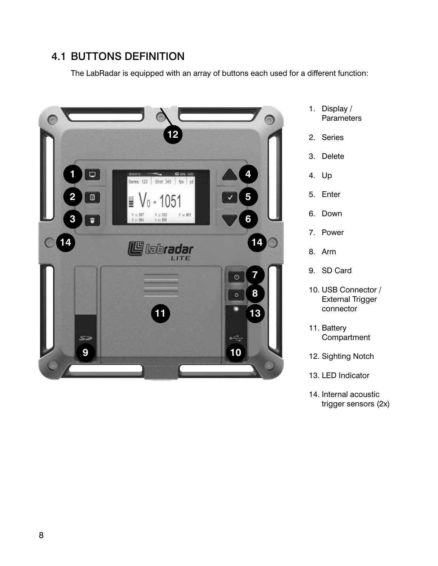## 4.1 BuTTons deFiniTion

The LabRadar is equipped with an array of buttons each used for a different function:



- 1. Display / **Parameters**
- 2. Series
- 3. Delete
- 4. Up
- 5. Enter
- 6. Down
- 7. Power
- 8. Arm
- 9. SD Card
- 10. USB Connector / External Trigger connector
- 11. Battery **Compartment**
- 12. Sighting Notch

13. LED Indicator

14. Internal acoustic trigger sensors (2x)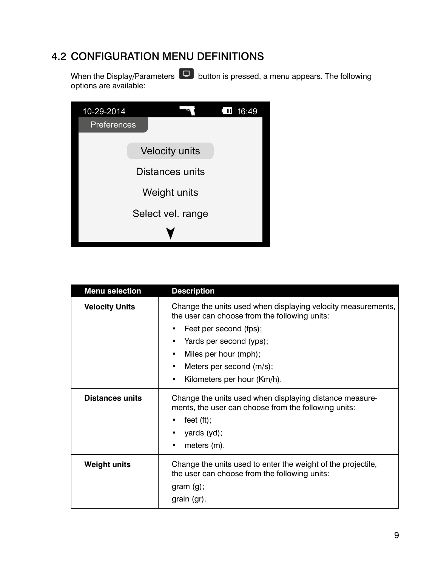## 4.2 ConFiguraTion Menu deFiniTions

When the Display/Parameters  $\Box$  button is pressed, a menu appears. The following options are available:

| 10-29-2014             |  |                       | Ш<br>16:49 |
|------------------------|--|-----------------------|------------|
| <b>Preferences</b>     |  |                       |            |
|                        |  |                       |            |
|                        |  | <b>Velocity units</b> |            |
| <b>Distances units</b> |  |                       |            |
| Weight units           |  |                       |            |
| Select vel. range      |  |                       |            |
|                        |  |                       |            |

| <b>Menu selection</b>  | <b>Description</b>                                                                                                                                             |  |
|------------------------|----------------------------------------------------------------------------------------------------------------------------------------------------------------|--|
| <b>Velocity Units</b>  | Change the units used when displaying velocity measurements,<br>the user can choose from the following units:                                                  |  |
|                        | Feet per second (fps);                                                                                                                                         |  |
|                        | Yards per second (yps);                                                                                                                                        |  |
|                        | Miles per hour (mph);                                                                                                                                          |  |
|                        | Meters per second (m/s);                                                                                                                                       |  |
|                        | Kilometers per hour (Km/h).                                                                                                                                    |  |
| <b>Distances units</b> | Change the units used when displaying distance measure-<br>ments, the user can choose from the following units:<br>feet $(ft)$ ;<br>yards (yd);<br>meters (m). |  |
| <b>Weight units</b>    | Change the units used to enter the weight of the projectile,<br>the user can choose from the following units:<br>gram(g);<br>grain (gr).                       |  |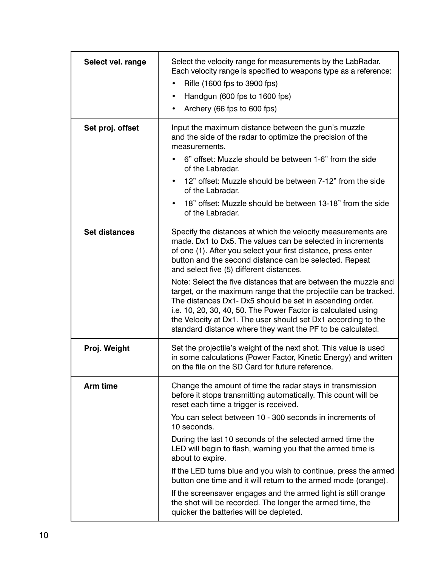| Select vel. range    | Select the velocity range for measurements by the LabRadar.<br>Each velocity range is specified to weapons type as a reference:<br>Rifle (1600 fps to 3900 fps)<br>Handgun (600 fps to 1600 fps)<br>٠<br>Archery (66 fps to 600 fps)                                                                                                                                                            |
|----------------------|-------------------------------------------------------------------------------------------------------------------------------------------------------------------------------------------------------------------------------------------------------------------------------------------------------------------------------------------------------------------------------------------------|
| Set proj. offset     | Input the maximum distance between the gun's muzzle<br>and the side of the radar to optimize the precision of the<br>measurements.                                                                                                                                                                                                                                                              |
|                      | 6" offset: Muzzle should be between 1-6" from the side<br>of the Labradar.                                                                                                                                                                                                                                                                                                                      |
|                      | 12" offset: Muzzle should be between 7-12" from the side<br>$\bullet$<br>of the Labradar.                                                                                                                                                                                                                                                                                                       |
|                      | 18" offset: Muzzle should be between 13-18" from the side<br>of the Labradar.                                                                                                                                                                                                                                                                                                                   |
| <b>Set distances</b> | Specify the distances at which the velocity measurements are<br>made. Dx1 to Dx5. The values can be selected in increments<br>of one (1). After you select your first distance, press enter<br>button and the second distance can be selected. Repeat<br>and select five (5) different distances.                                                                                               |
|                      | Note: Select the five distances that are between the muzzle and<br>target, or the maximum range that the projectile can be tracked.<br>The distances Dx1- Dx5 should be set in ascending order.<br>i.e. 10, 20, 30, 40, 50. The Power Factor is calculated using<br>the Velocity at Dx1. The user should set Dx1 according to the<br>standard distance where they want the PF to be calculated. |
| Proj. Weight         | Set the projectile's weight of the next shot. This value is used<br>in some calculations (Power Factor, Kinetic Energy) and written<br>on the file on the SD Card for future reference.                                                                                                                                                                                                         |
| Arm time             | Change the amount of time the radar stays in transmission<br>before it stops transmitting automatically. This count will be<br>reset each time a trigger is received.                                                                                                                                                                                                                           |
|                      | You can select between 10 - 300 seconds in increments of<br>10 seconds.                                                                                                                                                                                                                                                                                                                         |
|                      | During the last 10 seconds of the selected armed time the<br>LED will begin to flash, warning you that the armed time is<br>about to expire.                                                                                                                                                                                                                                                    |
|                      | If the LED turns blue and you wish to continue, press the armed<br>button one time and it will return to the armed mode (orange).                                                                                                                                                                                                                                                               |
|                      | If the screensaver engages and the armed light is still orange<br>the shot will be recorded. The longer the armed time, the<br>quicker the batteries will be depleted.                                                                                                                                                                                                                          |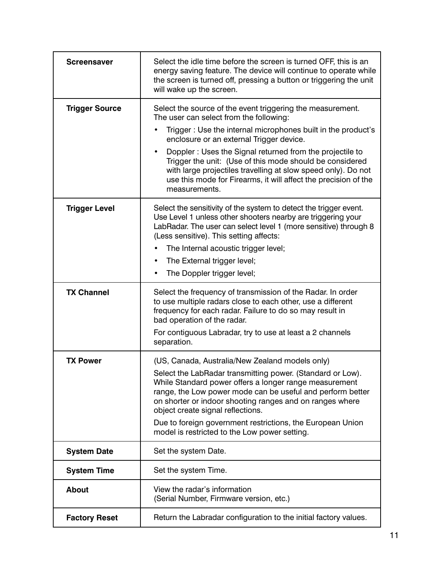| <b>Screensaver</b>    | Select the idle time before the screen is turned OFF, this is an<br>energy saving feature. The device will continue to operate while<br>the screen is turned off, pressing a button or triggering the unit<br>will wake up the screen.                                                                                                                                                                                                                                                                      |
|-----------------------|-------------------------------------------------------------------------------------------------------------------------------------------------------------------------------------------------------------------------------------------------------------------------------------------------------------------------------------------------------------------------------------------------------------------------------------------------------------------------------------------------------------|
| <b>Trigger Source</b> | Select the source of the event triggering the measurement.<br>The user can select from the following:<br>Trigger: Use the internal microphones built in the product's<br>enclosure or an external Trigger device.<br>Doppler: Uses the Signal returned from the projectile to<br>$\bullet$<br>Trigger the unit: (Use of this mode should be considered<br>with large projectiles travelling at slow speed only). Do not<br>use this mode for Firearms, it will affect the precision of the<br>measurements. |
| <b>Trigger Level</b>  | Select the sensitivity of the system to detect the trigger event.<br>Use Level 1 unless other shooters nearby are triggering your<br>LabRadar. The user can select level 1 (more sensitive) through 8<br>(Less sensitive). This setting affects:<br>The Internal acoustic trigger level;<br>The External trigger level;<br>$\bullet$<br>The Doppler trigger level;                                                                                                                                          |
| <b>TX Channel</b>     | Select the frequency of transmission of the Radar. In order<br>to use multiple radars close to each other, use a different<br>frequency for each radar. Failure to do so may result in<br>bad operation of the radar.<br>For contiguous Labradar, try to use at least a 2 channels<br>separation.                                                                                                                                                                                                           |
| <b>TX Power</b>       | (US, Canada, Australia/New Zealand models only)<br>Select the LabRadar transmitting power. (Standard or Low).<br>While Standard power offers a longer range measurement<br>range, the Low power mode can be useful and perform better<br>on shorter or indoor shooting ranges and on ranges where<br>object create signal reflections.<br>Due to foreign government restrictions, the European Union<br>model is restricted to the Low power setting.                                                       |
| <b>System Date</b>    | Set the system Date.                                                                                                                                                                                                                                                                                                                                                                                                                                                                                        |
| <b>System Time</b>    | Set the system Time.                                                                                                                                                                                                                                                                                                                                                                                                                                                                                        |
| <b>About</b>          | View the radar's information<br>(Serial Number, Firmware version, etc.)                                                                                                                                                                                                                                                                                                                                                                                                                                     |
| <b>Factory Reset</b>  | Return the Labradar configuration to the initial factory values.                                                                                                                                                                                                                                                                                                                                                                                                                                            |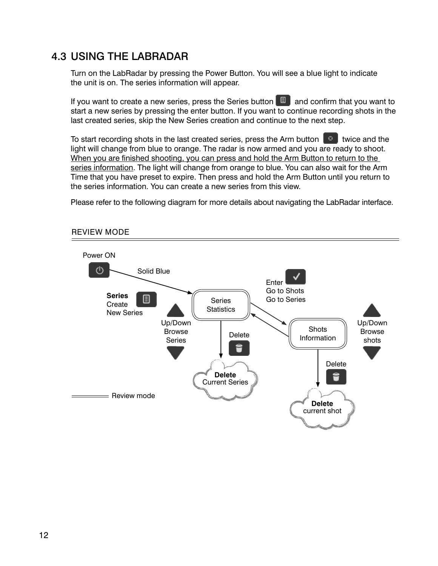## 4.3 using The LaBradar

Turn on the LabRadar by pressing the Power Button. You will see a blue light to indicate the unit is on. The series information will appear.

If you want to create a new series, press the Series button  $\Box$  and confirm that you want to start a new series by pressing the enter button. If you want to continue recording shots in the last created series, skip the New Series creation and continue to the next step.

To start recording shots in the last created series, press the Arm button  $\Box$  twice and the light will change from blue to orange. The radar is now armed and you are ready to shoot. When you are finished shooting, you can press and hold the Arm Button to return to the series information. The light will change from orange to blue. You can also wait for the Arm Time that you have preset to expire. Then press and hold the Arm Button until you return to the series information. You can create a new series from this view.

Please refer to the following diagram for more details about navigating the LabRadar interface.



#### REVIEW MODE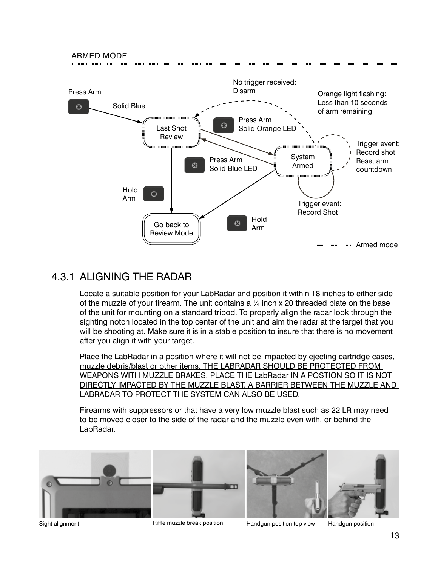#### ARMED MODE



### 4.3.1 ALIGNING THE RADAR

Locate a suitable position for your LabRadar and position it within 18 inches to either side of the muzzle of your firearm. The unit contains a  $\frac{1}{4}$  inch x 20 threaded plate on the base of the unit for mounting on a standard tripod. To properly align the radar look through the sighting notch located in the top center of the unit and aim the radar at the target that you will be shooting at. Make sure it is in a stable position to insure that there is no movement after you align it with your target.

Place the LabRadar in a position where it will not be impacted by ejecting cartridge cases, muzzle debris/blast or other items. THE LABRADAR SHOULD BE PROTECTED FROM WEAPONS WITH MUZZLE BRAKES. PLACE THE LabRadar IN A POSTION SO IT IS NOT DIRECTLY IMPACTED BY THE MUZZLE BLAST. A BARRIER BETWEEN THE MUZZLE AND LABRADAR TO PROTECT THE SYSTEM CAN ALSO BE USED.

Firearms with suppressors or that have a very low muzzle blast such as 22 LR may need to be moved closer to the side of the radar and the muzzle even with, or behind the LabRadar.



Sight alignment **Riffle muzzle break position** Handgun position by view Handgun position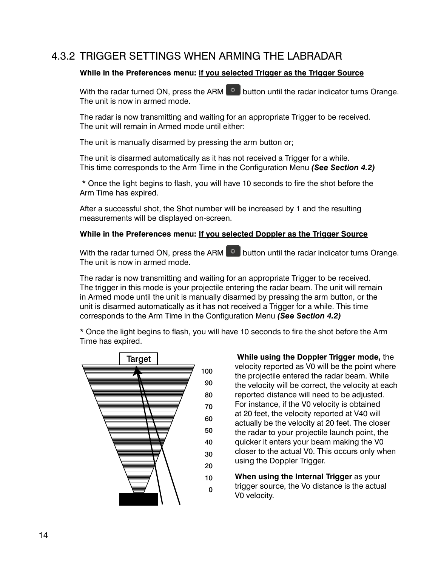## 4.3.2 TRIGGER SETTINGS WHEN ARMING THE LABRADAR

#### While in the Preferences menu: if you selected Trigger as the Trigger Source

With the radar turned ON, press the ARM  $\bullet$  button until the radar indicator turns Orange. The unit is now in armed mode.

The radar is now transmitting and waiting for an appropriate Trigger to be received. The unit will remain in Armed mode until either:

The unit is manually disarmed by pressing the arm button or;

The unit is disarmed automatically as it has not received a Trigger for a while. This time corresponds to the Arm Time in the Configuration Menu *(See Section 4.2)*

 \* Once the light begins to flash, you will have 10 seconds to fire the shot before the Arm Time has expired.

After a successful shot, the Shot number will be increased by 1 and the resulting measurements will be displayed on-screen.

#### While in the Preferences menu: If you selected Doppler as the Trigger Source

With the radar turned ON, press the ARM  $\bullet$  button until the radar indicator turns Orange. The unit is now in armed mode.

The radar is now transmitting and waiting for an appropriate Trigger to be received. The trigger in this mode is your projectile entering the radar beam. The unit will remain in Armed mode until the unit is manually disarmed by pressing the arm button, or the unit is disarmed automatically as it has not received a Trigger for a while. This time corresponds to the Arm Time in the Configuration Menu *(See Section 4.2)*

\* Once the light begins to flash, you will have 10 seconds to fire the shot before the Arm Time has expired.



**While using the Doppler Trigger mode, the** velocity reported as V0 will be the point where the projectile entered the radar beam. While the velocity will be correct, the velocity at each reported distance will need to be adjusted. For instance, if the V0 velocity is obtained at 20 feet, the velocity reported at V40 will actually be the velocity at 20 feet. The closer the radar to your projectile launch point, the quicker it enters your beam making the V0 closer to the actual V0. This occurs only when using the Doppler Trigger.

**When using the Internal Trigger** as your trigger source, the Vo distance is the actual V0 velocity.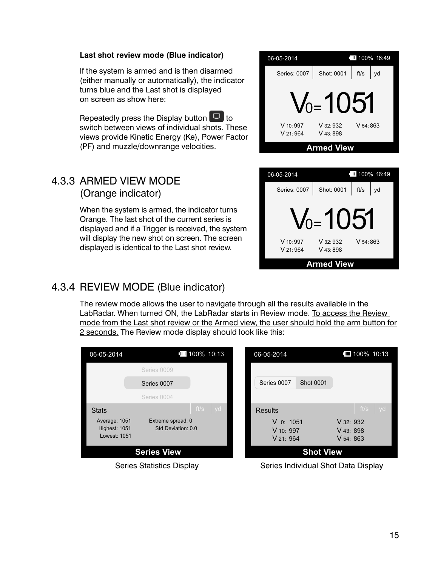#### **Last shot review mode (Blue indicator)**

If the system is armed and is then disarmed (either manually or automatically), the indicator turns blue and the Last shot is displayed on screen as show here:

Repeatedly press the Display button  $\Box$  to switch between views of individual shots. These views provide Kinetic Energy (Ke), Power Factor (PF) and muzzle/downrange velocities.



#### 4.3.3 ARMED VIEW MODE (Orange indicator)

When the system is armed, the indicator turns Orange. The last shot of the current series is displayed and if a Trigger is received, the system will display the new shot on screen. The screen displayed is identical to the Last shot review.



## 4.3.4 REVIEW MODE (Blue indicator)

The review mode allows the user to navigate through all the results available in the LabRadar. When turned ON, the LabRadar starts in Review mode. To access the Review mode from the Last shot review or the Armed view, the user should hold the arm button for 2 seconds. The Review mode display should look like this:





Series Statistics Display Series Individual Shot Data Display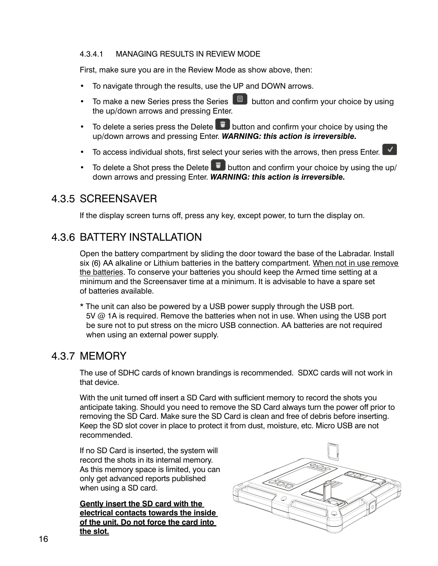#### 4.3.4.1 MANAGING RESULTS IN REVIEW MODE

First, make sure you are in the Review Mode as show above, then:

- To navigate through the results, use the UP and DOWN arrows.
- To make a new Series press the Series  $\boxed{E}$  button and confirm your choice by using the up/down arrows and pressing Enter.
- To delete a series press the Delete  $\ddot{\bullet}$  button and confirm your choice by using the up/down arrows and pressing Enter. *WARNING: this action is irreversible.*
- To access individual shots, first select your series with the arrows, then press Enter.
- To delete a Shot press the Delete  $\ddot{\bullet}$  button and confirm your choice by using the up/ down arrows and pressing Enter. *WARNING: this action is irreversible.*

#### 4.3.5 SCREENSAVER

If the display screen turns off, press any key, except power, to turn the display on.

## 4.3.6 BATTERY INSTALLATION

Open the battery compartment by sliding the door toward the base of the Labradar. Install six (6) AA alkaline or Lithium batteries in the battery compartment. When not in use remove the batteries. To conserve your batteries you should keep the Armed time setting at a minimum and the Screensaver time at a minimum. It is advisable to have a spare set of batteries available.

\* The unit can also be powered by a USB power supply through the USB port. 5V @ 1A is required. Remove the batteries when not in use. When using the USB port be sure not to put stress on the micro USB connection. AA batteries are not required when using an external power supply.

#### 4.3.7 MEMORY

The use of SDHC cards of known brandings is recommended. SDXC cards will not work in that device.

With the unit turned off insert a SD Card with sufficient memory to record the shots you anticipate taking. Should you need to remove the SD Card always turn the power off prior to removing the SD Card. Make sure the SD Card is clean and free of debris before inserting. Keep the SD slot cover in place to protect it from dust, moisture, etc. Micro USB are not recommended.

If no SD Card is inserted, the system will record the shots in its internal memory. As this memory space is limited, you can only get advanced reports published when using a SD card.

**Gently insert the sD card with the electrical contacts towards the inside of the unit. Do not force the card into the slot.**

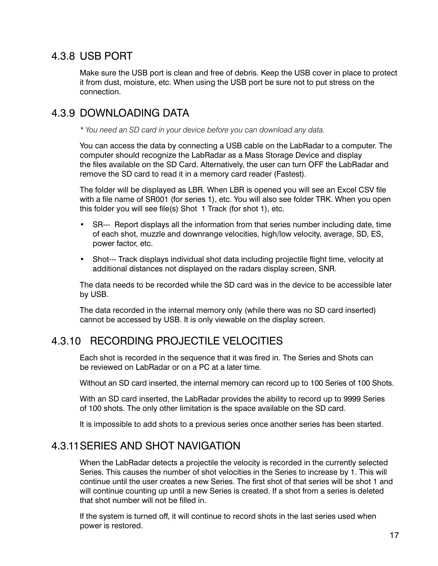## 4.3.8 USB PORT

Make sure the USB port is clean and free of debris. Keep the USB cover in place to protect it from dust, moisture, etc. When using the USB port be sure not to put stress on the connection.

## 4.3.9 DOWNLOADING DATA

*\* You need an SD card in your device before you can download any data.*

You can access the data by connecting a USB cable on the LabRadar to a computer. The computer should recognize the LabRadar as a Mass Storage Device and display the files available on the SD Card. Alternatively, the user can turn OFF the LabRadar and remove the SD card to read it in a memory card reader (Fastest).

The folder will be displayed as LBR. When LBR is opened you will see an Excel CSV file with a file name of SR001 (for series 1), etc. You will also see folder TRK. When you open this folder you will see file(s) Shot 1 Track (for shot 1), etc.

- SR--- Report displays all the information from that series number including date, time of each shot, muzzle and downrange velocities, high/low velocity, average, SD, ES, power factor, etc.
- Shot--- Track displays individual shot data including projectile flight time, velocity at additional distances not displayed on the radars display screen, SNR.

The data needs to be recorded while the SD card was in the device to be accessible later by USB.

The data recorded in the internal memory only (while there was no SD card inserted) cannot be accessed by USB. It is only viewable on the display screen.

## 4.3.10 RECORDING PROjECTILE VELOCITIES

Each shot is recorded in the sequence that it was fired in. The Series and Shots can be reviewed on LabRadar or on a PC at a later time.

Without an SD card inserted, the internal memory can record up to 100 Series of 100 Shots.

With an SD card inserted, the LabRadar provides the ability to record up to 9999 Series of 100 shots. The only other limitation is the space available on the SD card.

It is impossible to add shots to a previous series once another series has been started.

## 4.3.11SERIES AND SHOT NAVIGATION

When the LabRadar detects a projectile the velocity is recorded in the currently selected Series. This causes the number of shot velocities in the Series to increase by 1. This will continue until the user creates a new Series. The first shot of that series will be shot 1 and will continue counting up until a new Series is created. If a shot from a series is deleted that shot number will not be filled in.

If the system is turned off, it will continue to record shots in the last series used when power is restored.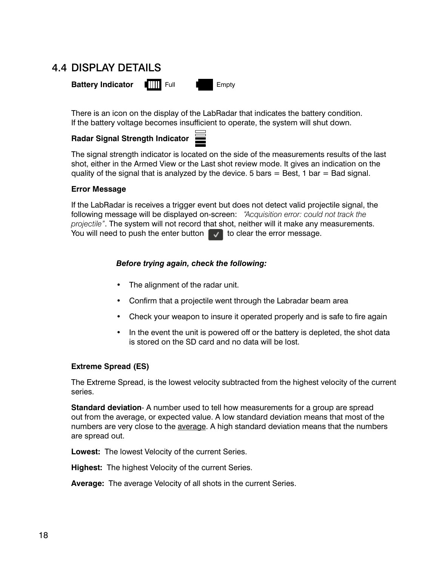## 4.4 disPLaY deTaiLs



There is an icon on the display of the LabRadar that indicates the battery condition. If the battery voltage becomes insufficient to operate, the system will shut down.

#### **radar signal strength Indicator**

The signal strength indicator is located on the side of the measurements results of the last shot, either in the Armed View or the Last shot review mode. It gives an indication on the quality of the signal that is analyzed by the device. 5 bars  $=$  Best, 1 bar  $=$  Bad signal.

#### **error Message**

If the LabRadar is receives a trigger event but does not detect valid projectile signal, the following message will be displayed on-screen: *"Acquisition error: could not track the projectile"*. The system will not record that shot, neither will it make any measurements. You will need to push the enter button  $\Box$  to clear the error message.

#### *Before trying again, check the following:*

- The alignment of the radar unit.
- Confirm that a projectile went through the Labradar beam area
- Check your weapon to insure it operated properly and is safe to fire again
- In the event the unit is powered off or the battery is depleted, the shot data is stored on the SD card and no data will be lost.

#### **extreme spread (es)**

The Extreme Spread, is the lowest velocity subtracted from the highest velocity of the current series.

**standard deviation**- A number used to tell how measurements for a group are spread out from the average, or expected value. A low standard deviation means that most of the numbers are very close to the average. A high standard deviation means that the numbers are spread out.

**Lowest:** The lowest Velocity of the current Series.

**Highest:** The highest Velocity of the current Series.

**average:** The average Velocity of all shots in the current Series.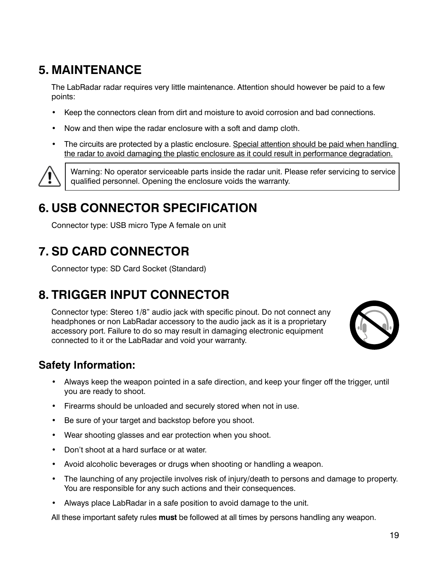# **5. MaINteNaNce**

The LabRadar radar requires very little maintenance. Attention should however be paid to a few points:

- Keep the connectors clean from dirt and moisture to avoid corrosion and bad connections.
- Now and then wipe the radar enclosure with a soft and damp cloth.
- The circuits are protected by a plastic enclosure. Special attention should be paid when handling the radar to avoid damaging the plastic enclosure as it could result in performance degradation.



Warning: No operator serviceable parts inside the radar unit. Please refer servicing to service qualified personnel. Opening the enclosure voids the warranty.

# **6. UsB coNNector specIfIcatIoN**

Connector type: USB micro Type A female on unit

# **7. sD carD coNNector**

Connector type: SD Card Socket (Standard)

# **8. trIGGer INpUt coNNector**

Connector type: Stereo 1/8" audio jack with specific pinout. Do not connect any headphones or non LabRadar accessory to the audio jack as it is a proprietary accessory port. Failure to do so may result in damaging electronic equipment connected to it or the LabRadar and void your warranty.



## **safety Information:**

- • Always keep the weapon pointed in a safe direction, and keep your finger off the trigger, until you are ready to shoot.
- Firearms should be unloaded and securely stored when not in use.
- • Be sure of your target and backstop before you shoot.
- Wear shooting glasses and ear protection when you shoot.
- • Don't shoot at a hard surface or at water.
- Avoid alcoholic beverages or drugs when shooting or handling a weapon.
- • The launching of any projectile involves risk of injury/death to persons and damage to property. You are responsible for any such actions and their consequences.
- Always place LabRadar in a safe position to avoid damage to the unit.

All these important safety rules **must** be followed at all times by persons handling any weapon.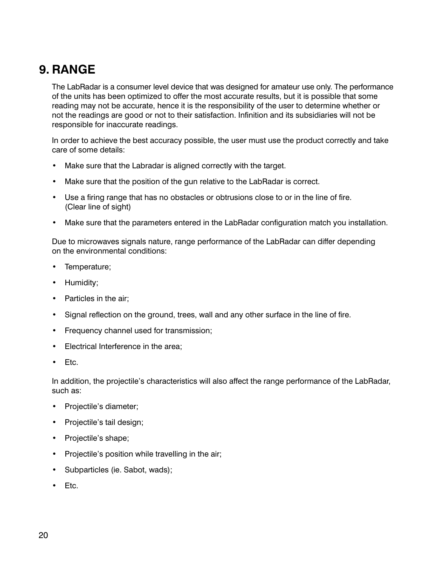# **9. raNGe**

The LabRadar is a consumer level device that was designed for amateur use only. The performance of the units has been optimized to offer the most accurate results, but it is possible that some reading may not be accurate, hence it is the responsibility of the user to determine whether or not the readings are good or not to their satisfaction. Infinition and its subsidiaries will not be responsible for inaccurate readings.

In order to achieve the best accuracy possible, the user must use the product correctly and take care of some details:

- Make sure that the Labradar is aligned correctly with the target.
- Make sure that the position of the gun relative to the LabRadar is correct.
- • Use a firing range that has no obstacles or obtrusions close to or in the line of fire. (Clear line of sight)
- Make sure that the parameters entered in the LabRadar configuration match you installation.

Due to microwaves signals nature, range performance of the LabRadar can differ depending on the environmental conditions:

- Temperature;
- Humidity;
- Particles in the air;
- Signal reflection on the ground, trees, wall and any other surface in the line of fire.
- Frequency channel used for transmission;
- • Electrical Interference in the area;
- • Etc.

In addition, the projectile's characteristics will also affect the range performance of the LabRadar, such as:

- • Projectile's diameter;
- • Projectile's tail design;
- Projectile's shape;
- Projectile's position while travelling in the air;
- Subparticles (ie. Sabot, wads);
- Etc.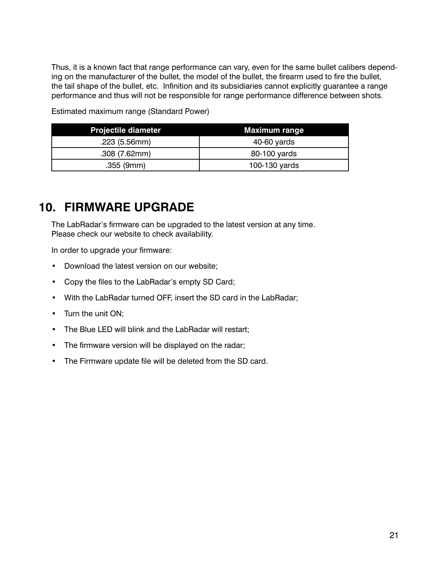Thus, it is a known fact that range performance can vary, even for the same bullet calibers depending on the manufacturer of the bullet, the model of the bullet, the firearm used to fire the bullet, the tail shape of the bullet, etc. Infinition and its subsidiaries cannot explicitly guarantee a range performance and thus will not be responsible for range performance difference between shots.

Estimated maximum range (Standard Power)

| <b>Projectile diameter</b> | <b>Maximum range</b> |
|----------------------------|----------------------|
| .223(5.56mm)               | 40-60 yards          |
| .308(7.62mm)               | 80-100 yards         |
| $.355$ (9mm)               | 100-130 yards        |

# **10. fIrMware UpGraDe**

The LabRadar's firmware can be upgraded to the latest version at any time. Please check our website to check availability.

In order to upgrade your firmware:

- • Download the latest version on our website;
- • Copy the files to the LabRadar's empty SD Card;
- With the LabRadar turned OFF, insert the SD card in the LabRadar;
- Turn the unit ON;
- The Blue LED will blink and the LabRadar will restart;
- The firmware version will be displayed on the radar;
- The Firmware update file will be deleted from the SD card.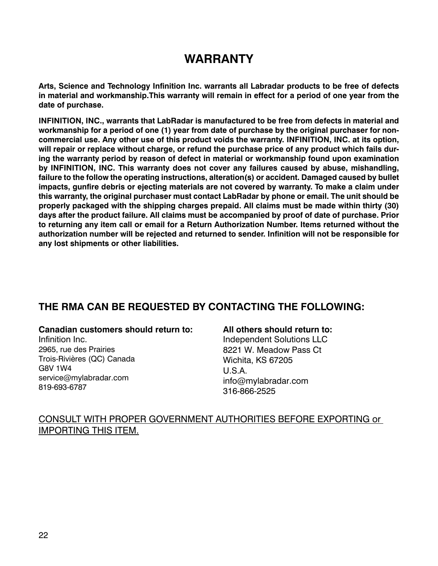## **warraNty**

**arts, science and technology Infinition Inc. warrants all Labradar products to be free of defects**  in material and workmanship. This warranty will remain in effect for a period of one year from the **date of purchase.**

**INFINITION, INC., warrants that LabRadar is manufactured to be free from defects in material and workmanship for a period of one (1) year from date of purchase by the original purchaser for noncommercial use. any other use of this product voids the warranty. INfINItIoN, INc. at its option, will repair or replace without charge, or refund the purchase price of any product which fails during the warranty period by reason of defect in material or workmanship found upon examination**  by INFINITION, INC. This warranty does not cover any failures caused by abuse, mishandling, **failure to the follow the operating instructions, alteration(s) or accident. Damaged caused by bullet**  impacts, gunfire debris or ejecting materials are not covered by warranty. To make a claim under **this warranty, the original purchaser must contact Labradar by phone or email. the unit should be properly packaged with the shipping charges prepaid. all claims must be made within thirty (30) days after the product failure. all claims must be accompanied by proof of date of purchase. prior**  to returning any item call or email for a Return Authorization Number. Items returned without the **authorization number will be rejected and returned to sender. Infinition will not be responsible for any lost shipments or other liabilities.**

### **tHe rMa caN Be reqUesteD By coNtactING tHe foLLowING:**

#### **canadian customers should return to:**

Infinition Inc. 2965, rue des Prairies Trois-Rivières (QC) Canada G8V 1W4 service@mylabradar.com 819-693-6787

#### **all others should return to:**

Independent Solutions LLC 8221 W. Meadow Pass Ct Wichita, KS 67205 U.S.A. info@mylabradar.com 316-866-2525

#### CONSULT WITH PROPER GOVERNMENT AUTHORITIES BEFORE EXPORTING or IMPORTING THIS ITEM.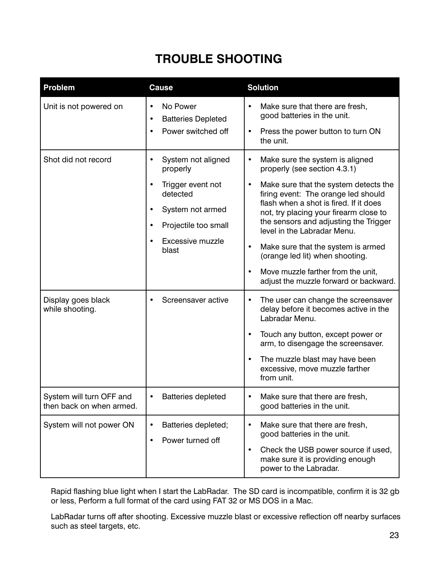# **troUBLe sHootING**

| <b>Problem</b>                                       | <b>Cause</b>                                                                                                                                                                    | <b>Solution</b>                                                                                                                                                                                                                                                                                                                                                                                                                                                                                                          |
|------------------------------------------------------|---------------------------------------------------------------------------------------------------------------------------------------------------------------------------------|--------------------------------------------------------------------------------------------------------------------------------------------------------------------------------------------------------------------------------------------------------------------------------------------------------------------------------------------------------------------------------------------------------------------------------------------------------------------------------------------------------------------------|
| Unit is not powered on                               | No Power<br>$\bullet$<br><b>Batteries Depleted</b><br>$\bullet$<br>Power switched off<br>$\bullet$                                                                              | Make sure that there are fresh,<br>$\bullet$<br>good batteries in the unit.<br>Press the power button to turn ON<br>$\bullet$<br>the unit.                                                                                                                                                                                                                                                                                                                                                                               |
| Shot did not record                                  | System not aligned<br>$\bullet$<br>properly<br>Trigger event not<br>detected<br>System not armed<br>Projectile too small<br>$\bullet$<br>Excessive muzzle<br>$\bullet$<br>blast | Make sure the system is aligned<br>$\bullet$<br>properly (see section 4.3.1)<br>Make sure that the system detects the<br>$\bullet$<br>firing event: The orange led should<br>flash when a shot is fired. If it does<br>not, try placing your firearm close to<br>the sensors and adjusting the Trigger<br>level in the Labradar Menu.<br>Make sure that the system is armed<br>$\bullet$<br>(orange led lit) when shooting.<br>Move muzzle farther from the unit,<br>$\bullet$<br>adjust the muzzle forward or backward. |
| Display goes black<br>while shooting.                | Screensaver active                                                                                                                                                              | The user can change the screensaver<br>$\bullet$<br>delay before it becomes active in the<br>Labradar Menu.<br>Touch any button, except power or<br>arm, to disengage the screensaver.<br>The muzzle blast may have been<br>$\bullet$<br>excessive, move muzzle farther<br>from unit.                                                                                                                                                                                                                                    |
| System will turn OFF and<br>then back on when armed. | <b>Batteries depleted</b>                                                                                                                                                       | Make sure that there are fresh,<br>good batteries in the unit.                                                                                                                                                                                                                                                                                                                                                                                                                                                           |
| System will not power ON                             | Batteries depleted;<br>Power turned off                                                                                                                                         | Make sure that there are fresh,<br>$\bullet$<br>good batteries in the unit.<br>Check the USB power source if used,<br>٠<br>make sure it is providing enough<br>power to the Labradar.                                                                                                                                                                                                                                                                                                                                    |

Rapid flashing blue light when I start the LabRadar. The SD card is incompatible, confirm it is 32 gb or less, Perform a full format of the card using FAT 32 or MS DOS in a Mac.

LabRadar turns off after shooting. Excessive muzzle blast or excessive reflection off nearby surfaces such as steel targets, etc.